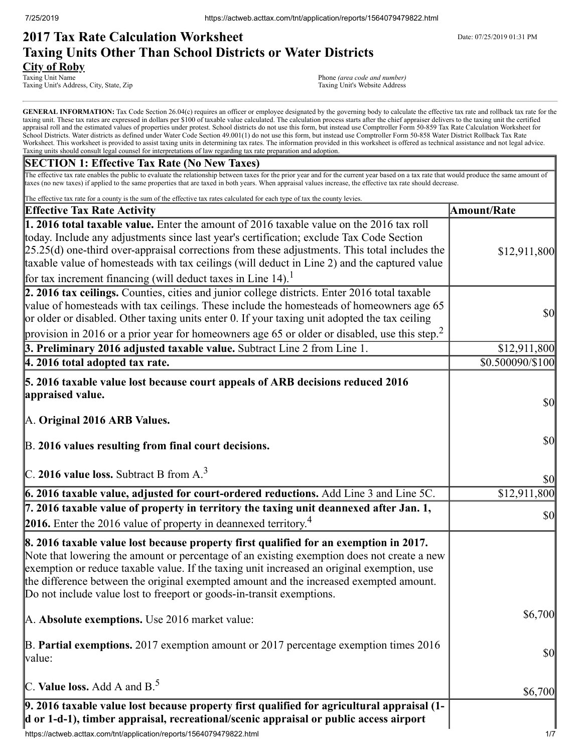# **2017 Tax Rate Calculation Worksheet** Department Date: 07/25/2019 01:31 PM **Taxing Units Other Than School Districts or Water Districts City of Roby**<br>Taxing Unit Name

Taxing Unit's Address, City, State, Zip

Phone *(area code and number)*<br>Taxing Unit's Website Address

GENERAL INFORMATION: Tax Code Section 26.04(c) requires an officer or employee designated by the governing body to calculate the effective tax rate and rollback tax rate for the taxing unit. These tax rates are expressed in dollars per \$100 of taxable value calculated. The calculation process starts after the chief appraiser delivers to the taxing unit the certified appraisal roll and the estimated values of properties under protest. School districts do not use this form, but instead use Comptroller Form 50-859 Tax Rate Calculation Worksheet for School Districts. Water districts as defined under Water Code Section 49.001(1) do not use this form, but instead use Comptroller Form 50-858 Water District Rollback Tax Rate Worksheet. This worksheet is provided to assist taxing units in determining tax rates. The information provided in this worksheet is offered as technical assistance and not legal advice. Taxing units should consult legal counsel for interpretations of law regarding tax rate preparation and adoption.

## **SECTION 1: Effective Tax Rate (No New Taxes)**

The effective tax rate enables the public to evaluate the relationship between taxes for the prior year and for the current year based on a tax rate that would produce the same amount of taxes (no new taxes) if applied to the same properties that are taxed in both years. When appraisal values increase, the effective tax rate should decrease.

| The effective tax rate for a county is the sum of the effective tax rates calculated for each type of tax the county levies.                                                                                                                                                                                                                                                                                                                                            |                                     |
|-------------------------------------------------------------------------------------------------------------------------------------------------------------------------------------------------------------------------------------------------------------------------------------------------------------------------------------------------------------------------------------------------------------------------------------------------------------------------|-------------------------------------|
| <b>Effective Tax Rate Activity</b>                                                                                                                                                                                                                                                                                                                                                                                                                                      | <b>Amount/Rate</b>                  |
| 1. 2016 total taxable value. Enter the amount of 2016 taxable value on the 2016 tax roll<br>today. Include any adjustments since last year's certification; exclude Tax Code Section<br>$[25.25(d)$ one-third over-appraisal corrections from these adjustments. This total includes the<br>taxable value of homesteads with tax ceilings (will deduct in Line 2) and the captured value<br>for tax increment financing (will deduct taxes in Line $14$ ). <sup>1</sup> | \$12,911,800                        |
| 2. 2016 tax ceilings. Counties, cities and junior college districts. Enter 2016 total taxable<br>value of homesteads with tax ceilings. These include the homesteads of homeowners age 65<br>or older or disabled. Other taxing units enter 0. If your taxing unit adopted the tax ceiling<br>provision in 2016 or a prior year for homeowners age 65 or older or disabled, use this step. <sup>2</sup>                                                                 | $\vert \mathbf{S} \mathbf{O} \vert$ |
| 3. Preliminary 2016 adjusted taxable value. Subtract Line 2 from Line 1.                                                                                                                                                                                                                                                                                                                                                                                                | \$12,911,800                        |
| $ 4.2016$ total adopted tax rate.                                                                                                                                                                                                                                                                                                                                                                                                                                       | \$0.500090/\$100                    |
| 5. 2016 taxable value lost because court appeals of ARB decisions reduced 2016<br>appraised value.<br>A. Original 2016 ARB Values.                                                                                                                                                                                                                                                                                                                                      | $\vert \mathbf{S} \mathbf{O} \vert$ |
| B. 2016 values resulting from final court decisions.                                                                                                                                                                                                                                                                                                                                                                                                                    | \$0                                 |
| C. 2016 value loss. Subtract B from $A3$                                                                                                                                                                                                                                                                                                                                                                                                                                | \$0                                 |
| 6. 2016 taxable value, adjusted for court-ordered reductions. Add Line 3 and Line 5C.                                                                                                                                                                                                                                                                                                                                                                                   | \$12,911,800                        |
| 7. 2016 taxable value of property in territory the taxing unit deannexed after Jan. 1,<br><b>2016.</b> Enter the 2016 value of property in deannexed territory. <sup>4</sup>                                                                                                                                                                                                                                                                                            | \$0                                 |
| 8. 2016 taxable value lost because property first qualified for an exemption in 2017.<br>Note that lowering the amount or percentage of an existing exemption does not create a new<br>exemption or reduce taxable value. If the taxing unit increased an original exemption, use<br>the difference between the original exempted amount and the increased exempted amount.<br>Do not include value lost to freeport or goods-in-transit exemptions.                    |                                     |
| A. Absolute exemptions. Use 2016 market value:                                                                                                                                                                                                                                                                                                                                                                                                                          | \$6,700                             |
| $\mathbb B$ . Partial exemptions. 2017 exemption amount or 2017 percentage exemption times 2016<br>value:                                                                                                                                                                                                                                                                                                                                                               | \$0                                 |
| C. Value loss. Add A and $B^5$ .                                                                                                                                                                                                                                                                                                                                                                                                                                        | \$6,700                             |
| 9. 2016 taxable value lost because property first qualified for agricultural appraisal (1-<br>d or 1-d-1), timber appraisal, recreational/scenic appraisal or public access airport                                                                                                                                                                                                                                                                                     |                                     |
| https://actweb.acttax.com/tnt/application/reports/1564079479822.html                                                                                                                                                                                                                                                                                                                                                                                                    | 1/7                                 |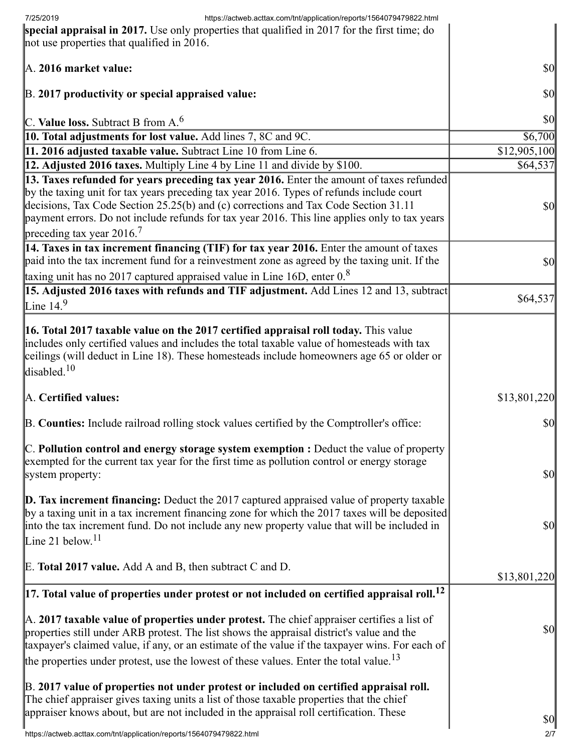| https://actweb.acttax.com/tnt/application/reports/1564079479822.html<br>7/25/2019                                                                                                                                                                                                                                                                                                                                     |                                     |
|-----------------------------------------------------------------------------------------------------------------------------------------------------------------------------------------------------------------------------------------------------------------------------------------------------------------------------------------------------------------------------------------------------------------------|-------------------------------------|
| special appraisal in 2017. Use only properties that qualified in 2017 for the first time; do<br>not use properties that qualified in 2016.                                                                                                                                                                                                                                                                            |                                     |
| A. 2016 market value:                                                                                                                                                                                                                                                                                                                                                                                                 | \$0                                 |
| B. 2017 productivity or special appraised value:                                                                                                                                                                                                                                                                                                                                                                      | $\vert \mathbf{S} \mathbf{0} \vert$ |
| C. Value loss. Subtract B from $A6$                                                                                                                                                                                                                                                                                                                                                                                   | $ 10\rangle$                        |
| 10. Total adjustments for lost value. Add lines 7, 8C and 9C.                                                                                                                                                                                                                                                                                                                                                         | \$6,700                             |
| 11. 2016 adjusted taxable value. Subtract Line 10 from Line 6.                                                                                                                                                                                                                                                                                                                                                        | \$12,905,100                        |
| 12. Adjusted 2016 taxes. Multiply Line 4 by Line 11 and divide by \$100.                                                                                                                                                                                                                                                                                                                                              | \$64,537                            |
| 13. Taxes refunded for years preceding tax year 2016. Enter the amount of taxes refunded<br>by the taxing unit for tax years preceding tax year 2016. Types of refunds include court<br>decisions, Tax Code Section 25.25(b) and (c) corrections and Tax Code Section 31.11<br>payment errors. Do not include refunds for tax year 2016. This line applies only to tax years<br>preceding tax year 2016. <sup>7</sup> | \$0                                 |
| 14. Taxes in tax increment financing (TIF) for tax year 2016. Enter the amount of taxes<br>paid into the tax increment fund for a reinvestment zone as agreed by the taxing unit. If the                                                                                                                                                                                                                              | \$0                                 |
| taxing unit has no 2017 captured appraised value in Line 16D, enter $0.8$                                                                                                                                                                                                                                                                                                                                             |                                     |
| 15. Adjusted 2016 taxes with refunds and TIF adjustment. Add Lines 12 and 13, subtract<br>Line $14.9$                                                                                                                                                                                                                                                                                                                 | \$64,537                            |
| 16. Total 2017 taxable value on the 2017 certified appraisal roll today. This value<br>includes only certified values and includes the total taxable value of homesteads with tax<br>ceilings (will deduct in Line 18). These homesteads include homeowners age 65 or older or<br>disabled. <sup>10</sup>                                                                                                             |                                     |
| A. Certified values:                                                                                                                                                                                                                                                                                                                                                                                                  | \$13,801,220                        |
| B. Counties: Include railroad rolling stock values certified by the Comptroller's office:                                                                                                                                                                                                                                                                                                                             | \$0                                 |
| $\mathbb C$ . Pollution control and energy storage system exemption : Deduct the value of property<br>exempted for the current tax year for the first time as pollution control or energy storage<br>system property:                                                                                                                                                                                                 | $\vert \mathbf{S} \mathbf{0} \vert$ |
| <b>D. Tax increment financing:</b> Deduct the 2017 captured appraised value of property taxable<br>by a taxing unit in a tax increment financing zone for which the 2017 taxes will be deposited<br>into the tax increment fund. Do not include any new property value that will be included in<br>Line 21 below. <sup>11</sup>                                                                                       | \$0                                 |
| E. Total 2017 value. Add A and B, then subtract C and D.                                                                                                                                                                                                                                                                                                                                                              | \$13,801,220                        |
| $\left 17.\right.$ Total value of properties under protest or not included on certified appraisal roll. $^{12}$                                                                                                                                                                                                                                                                                                       |                                     |
| A. 2017 taxable value of properties under protest. The chief appraiser certifies a list of<br>properties still under ARB protest. The list shows the appraisal district's value and the<br>taxpayer's claimed value, if any, or an estimate of the value if the taxpayer wins. For each of<br>the properties under protest, use the lowest of these values. Enter the total value. <sup>13</sup>                      | \$0                                 |
| B. 2017 value of properties not under protest or included on certified appraisal roll.<br>The chief appraiser gives taxing units a list of those taxable properties that the chief<br>appraiser knows about, but are not included in the appraisal roll certification. These                                                                                                                                          | $\vert \mathbf{S} \mathbf{O} \vert$ |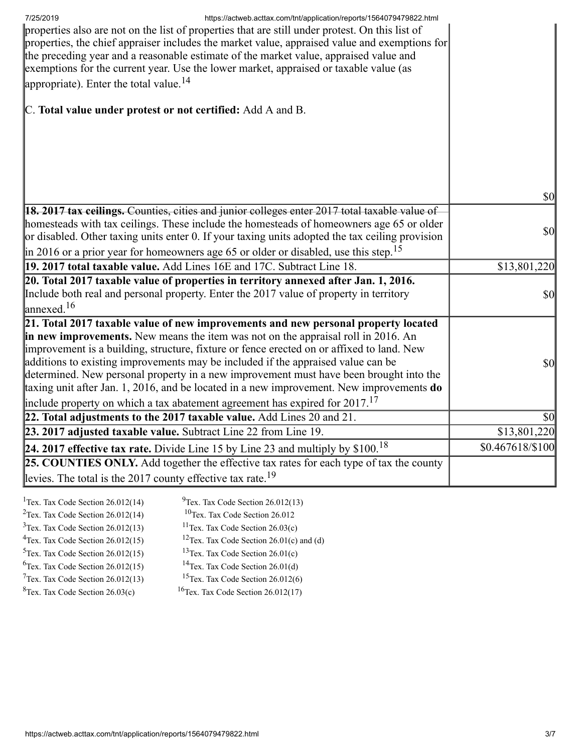| 7/25/2019<br>https://actweb.acttax.com/tnt/application/reports/1564079479822.html<br>properties also are not on the list of properties that are still under protest. On this list of<br>properties, the chief appraiser includes the market value, appraised value and exemptions for<br>the preceding year and a reasonable estimate of the market value, appraised value and<br>exemptions for the current year. Use the lower market, appraised or taxable value (as<br>appropriate). Enter the total value. <sup>14</sup>                          |                                     |
|--------------------------------------------------------------------------------------------------------------------------------------------------------------------------------------------------------------------------------------------------------------------------------------------------------------------------------------------------------------------------------------------------------------------------------------------------------------------------------------------------------------------------------------------------------|-------------------------------------|
| C. Total value under protest or not certified: Add A and B.                                                                                                                                                                                                                                                                                                                                                                                                                                                                                            |                                     |
|                                                                                                                                                                                                                                                                                                                                                                                                                                                                                                                                                        |                                     |
|                                                                                                                                                                                                                                                                                                                                                                                                                                                                                                                                                        |                                     |
|                                                                                                                                                                                                                                                                                                                                                                                                                                                                                                                                                        | $\vert \mathbf{S} \mathbf{0} \vert$ |
| <b>18. 2017 tax ceilings.</b> Counties, cities and junior colleges enter 2017 total taxable value of<br>homesteads with tax ceilings. These include the homesteads of homeowners age 65 or older<br>or disabled. Other taxing units enter 0. If your taxing units adopted the tax ceiling provision                                                                                                                                                                                                                                                    | $\vert \mathbf{S} \mathbf{O} \vert$ |
| in 2016 or a prior year for homeowners age 65 or older or disabled, use this step. <sup>15</sup>                                                                                                                                                                                                                                                                                                                                                                                                                                                       |                                     |
| 19. 2017 total taxable value. Add Lines 16E and 17C. Subtract Line 18.                                                                                                                                                                                                                                                                                                                                                                                                                                                                                 | \$13,801,220                        |
| 20. Total 2017 taxable value of properties in territory annexed after Jan. 1, 2016.<br>Include both real and personal property. Enter the 2017 value of property in territory<br>$\lvert$ annexed. <sup>16</sup>                                                                                                                                                                                                                                                                                                                                       | $\vert \mathbf{S} \mathbf{O} \vert$ |
| 21. Total 2017 taxable value of new improvements and new personal property located                                                                                                                                                                                                                                                                                                                                                                                                                                                                     |                                     |
| in new improvements. New means the item was not on the appraisal roll in 2016. An<br>improvement is a building, structure, fixture or fence erected on or affixed to land. New<br>additions to existing improvements may be included if the appraised value can be<br>determined. New personal property in a new improvement must have been brought into the<br>taxing unit after Jan. 1, 2016, and be located in a new improvement. New improvements do<br>include property on which a tax abatement agreement has expired for $2017$ . <sup>17</sup> | $\vert \mathbf{S} \mathbf{0} \vert$ |
| 22. Total adjustments to the 2017 taxable value. Add Lines $20$ and $21$ .                                                                                                                                                                                                                                                                                                                                                                                                                                                                             | $\vert \$\text{0}\vert$             |
| 23. 2017 adjusted taxable value. Subtract Line 22 from Line 19.                                                                                                                                                                                                                                                                                                                                                                                                                                                                                        | \$13,801,220                        |
| 24. 2017 effective tax rate. Divide Line 15 by Line 23 and multiply by $$100.18$                                                                                                                                                                                                                                                                                                                                                                                                                                                                       | \$0.467618/\$100                    |
| 25. COUNTIES ONLY. Add together the effective tax rates for each type of tax the county<br>levies. The total is the 2017 county effective tax rate. <sup>19</sup>                                                                                                                                                                                                                                                                                                                                                                                      |                                     |
| $9$ Tex. Tax Code Section 26.012(13)<br><sup>1</sup> Tex. Tax Code Section $26.012(14)$                                                                                                                                                                                                                                                                                                                                                                                                                                                                |                                     |

<sup>2</sup>Tex. Tax Code Section  $26.012(14)$ <sup>10</sup>Tex. Tax Code Section 26.012  $3$ Tex. Tax Code Section 26.012(13) <sup>11</sup>Tex. Tax Code Section  $26.03(c)$ <sup>4</sup>Tex. Tax Code Section  $26.012(15)$ <sup>12</sup>Tex. Tax Code Section 26.01(c) and (d)  $5$ Tex. Tax Code Section 26.012(15)  $13$ Tex. Tax Code Section 26.01(c)  $6$ Tex. Tax Code Section 26.012(15) <sup>14</sup>Tex. Tax Code Section  $26.01(d)$  $7$ Tex. Tax Code Section 26.012(13) <sup>15</sup>Tex. Tax Code Section 26.012(6)  ${}^{8}$ Tex. Tax Code Section 26.03(c)  $16$ Tex. Tax Code Section 26.012(17)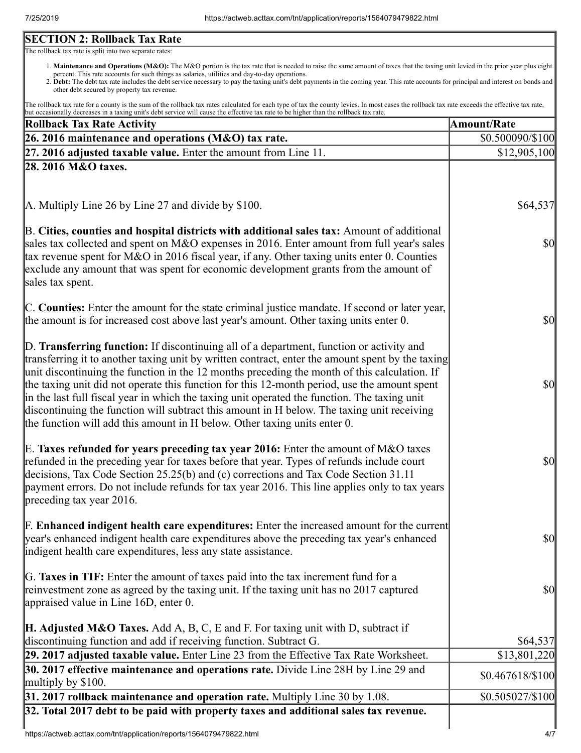# **SECTION 2: Rollback Tax Rate**

The rollback tax rate is split into two separate rates:

- 1. Maintenance and Operations (M&O): The M&O portion is the tax rate that is needed to raise the same amount of taxes that the taxing unit levied in the prior year plus eight percent. This rate accounts for such things as salaries, utilities and day-to-day operations.
- 2. Debt: The debt tax rate includes the debt service necessary to pay the taxing unit's debt payments in the coming year. This rate accounts for principal and interest on bonds and other debt secured by property tax revenue.

The rollback tax rate for a county is the sum of the rollback tax rates calculated for each type of tax the county levies. In most cases the rollback tax rate exceeds the effective tax rate, but occasionally decreases in a taxing unit's debt service will cause the effective tax rate to be higher than the rollback tax rate.

| <b>Rollback Tax Rate Activity</b>                                                                                                                                                                                                                                                                                                                                                                                                                                                                                                                                                                                                                                       | <b>Amount/Rate</b>                  |
|-------------------------------------------------------------------------------------------------------------------------------------------------------------------------------------------------------------------------------------------------------------------------------------------------------------------------------------------------------------------------------------------------------------------------------------------------------------------------------------------------------------------------------------------------------------------------------------------------------------------------------------------------------------------------|-------------------------------------|
| 26. 2016 maintenance and operations (M&O) tax rate.                                                                                                                                                                                                                                                                                                                                                                                                                                                                                                                                                                                                                     | \$0.500090/\$100                    |
| $[27. 2016$ adjusted taxable value. Enter the amount from Line 11.                                                                                                                                                                                                                                                                                                                                                                                                                                                                                                                                                                                                      | \$12,905,100                        |
| 28. 2016 M&O taxes.                                                                                                                                                                                                                                                                                                                                                                                                                                                                                                                                                                                                                                                     |                                     |
| A. Multiply Line 26 by Line 27 and divide by \$100.                                                                                                                                                                                                                                                                                                                                                                                                                                                                                                                                                                                                                     | \$64,537                            |
| B. Cities, counties and hospital districts with additional sales tax: Amount of additional<br>sales tax collected and spent on M&O expenses in 2016. Enter amount from full year's sales<br>tax revenue spent for M&O in 2016 fiscal year, if any. Other taxing units enter 0. Counties<br>exclude any amount that was spent for economic development grants from the amount of<br>sales tax spent.                                                                                                                                                                                                                                                                     | $\vert \mathbf{S} \mathbf{O} \vert$ |
| C. Counties: Enter the amount for the state criminal justice mandate. If second or later year,<br>the amount is for increased cost above last year's amount. Other taxing units enter 0.                                                                                                                                                                                                                                                                                                                                                                                                                                                                                | $\frac{1}{2}$                       |
| D. Transferring function: If discontinuing all of a department, function or activity and<br>transferring it to another taxing unit by written contract, enter the amount spent by the taxing<br>unit discontinuing the function in the 12 months preceding the month of this calculation. If<br>the taxing unit did not operate this function for this 12-month period, use the amount spent<br>in the last full fiscal year in which the taxing unit operated the function. The taxing unit<br>discontinuing the function will subtract this amount in H below. The taxing unit receiving<br>the function will add this amount in H below. Other taxing units enter 0. | $\frac{1}{2}$                       |
| E. Taxes refunded for years preceding tax year 2016: Enter the amount of M&O taxes<br>refunded in the preceding year for taxes before that year. Types of refunds include court<br>decisions, Tax Code Section 25.25(b) and (c) corrections and Tax Code Section 31.11<br>payment errors. Do not include refunds for tax year 2016. This line applies only to tax years<br>preceding tax year 2016.                                                                                                                                                                                                                                                                     | $\frac{1}{2}$                       |
| <b>F. Enhanced indigent health care expenditures:</b> Enter the increased amount for the current<br>year's enhanced indigent health care expenditures above the preceding tax year's enhanced<br>indigent health care expenditures, less any state assistance.                                                                                                                                                                                                                                                                                                                                                                                                          | <b>\$0</b>                          |
| G. Taxes in TIF: Enter the amount of taxes paid into the tax increment fund for a<br>reinvestment zone as agreed by the taxing unit. If the taxing unit has no 2017 captured<br>appraised value in Line 16D, enter 0.                                                                                                                                                                                                                                                                                                                                                                                                                                                   | <b>\$0</b>                          |
| <b>H. Adjusted M&amp;O Taxes.</b> Add A, B, C, E and F. For taxing unit with D, subtract if<br>discontinuing function and add if receiving function. Subtract G.                                                                                                                                                                                                                                                                                                                                                                                                                                                                                                        | \$64,537                            |
| 29. 2017 adjusted taxable value. Enter Line 23 from the Effective Tax Rate Worksheet.                                                                                                                                                                                                                                                                                                                                                                                                                                                                                                                                                                                   | \$13,801,220                        |
| 30. 2017 effective maintenance and operations rate. Divide Line 28H by Line 29 and<br>multiply by \$100.                                                                                                                                                                                                                                                                                                                                                                                                                                                                                                                                                                | $$0.467618/\$100$                   |
| 31. 2017 rollback maintenance and operation rate. Multiply Line 30 by 1.08.                                                                                                                                                                                                                                                                                                                                                                                                                                                                                                                                                                                             | $$0.505027/\$100$                   |
| 32. Total 2017 debt to be paid with property taxes and additional sales tax revenue.                                                                                                                                                                                                                                                                                                                                                                                                                                                                                                                                                                                    |                                     |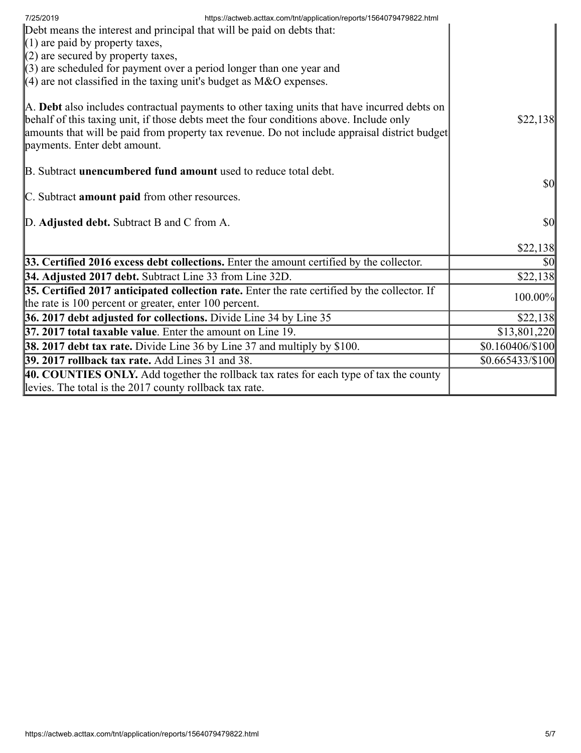| https://actweb.acttax.com/tnt/application/reports/1564079479822.html<br>7/25/2019                                                                                                                                                                                                                                        |                                     |
|--------------------------------------------------------------------------------------------------------------------------------------------------------------------------------------------------------------------------------------------------------------------------------------------------------------------------|-------------------------------------|
| Debt means the interest and principal that will be paid on debts that:                                                                                                                                                                                                                                                   |                                     |
| $(1)$ are paid by property taxes,                                                                                                                                                                                                                                                                                        |                                     |
| $(2)$ are secured by property taxes,<br>$\langle 3 \rangle$ are scheduled for payment over a period longer than one year and                                                                                                                                                                                             |                                     |
| $(4)$ are not classified in the taxing unit's budget as M&O expenses.                                                                                                                                                                                                                                                    |                                     |
|                                                                                                                                                                                                                                                                                                                          |                                     |
| A. Debt also includes contractual payments to other taxing units that have incurred debts on<br>behalf of this taxing unit, if those debts meet the four conditions above. Include only<br>amounts that will be paid from property tax revenue. Do not include appraisal district budget<br>payments. Enter debt amount. | \$22,138                            |
| B. Subtract <b>unencumbered fund amount</b> used to reduce total debt.                                                                                                                                                                                                                                                   |                                     |
|                                                                                                                                                                                                                                                                                                                          | $\vert \mathbf{S} \mathbf{0} \vert$ |
| C. Subtract <b>amount paid</b> from other resources.                                                                                                                                                                                                                                                                     |                                     |
|                                                                                                                                                                                                                                                                                                                          |                                     |
| D. Adjusted debt. Subtract B and C from A.                                                                                                                                                                                                                                                                               | $\vert \mathbf{S} \mathbf{0} \vert$ |
|                                                                                                                                                                                                                                                                                                                          | \$22,138                            |
| 33. Certified 2016 excess debt collections. Enter the amount certified by the collector.                                                                                                                                                                                                                                 | \$0                                 |
| 34. Adjusted 2017 debt. Subtract Line 33 from Line 32D.                                                                                                                                                                                                                                                                  | \$22,138                            |
| 35. Certified 2017 anticipated collection rate. Enter the rate certified by the collector. If                                                                                                                                                                                                                            |                                     |
| the rate is 100 percent or greater, enter 100 percent.                                                                                                                                                                                                                                                                   | 100.00%                             |
| 36. 2017 debt adjusted for collections. Divide Line 34 by Line 35                                                                                                                                                                                                                                                        | \$22,138                            |
| 37. 2017 total taxable value. Enter the amount on Line 19.                                                                                                                                                                                                                                                               | \$13,801,220                        |
| 38. 2017 debt tax rate. Divide Line 36 by Line 37 and multiply by \$100.                                                                                                                                                                                                                                                 | \$0.160406/\$100                    |
| 39. 2017 rollback tax rate. Add Lines 31 and 38.                                                                                                                                                                                                                                                                         | $$0.665433\%100$                    |
| 40. COUNTIES ONLY. Add together the rollback tax rates for each type of tax the county                                                                                                                                                                                                                                   |                                     |
| levies. The total is the 2017 county rollback tax rate.                                                                                                                                                                                                                                                                  |                                     |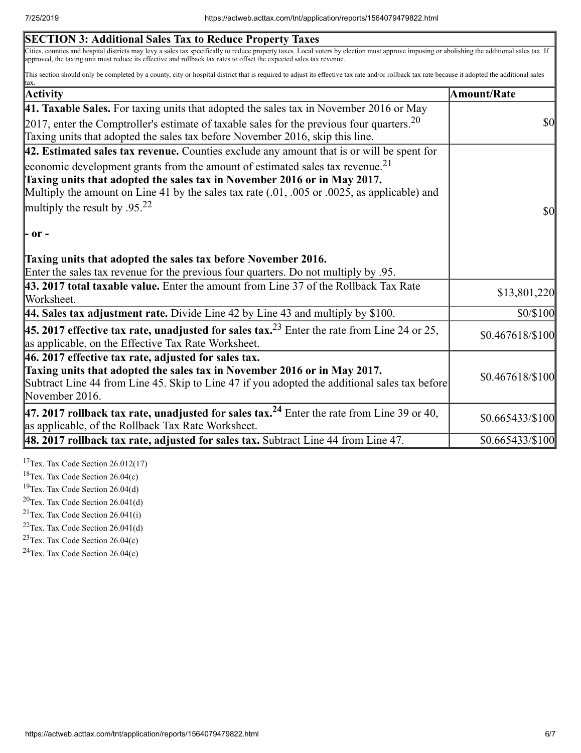| <b>SECTION 3: Additional Sales Tax to Reduce Property Taxes</b>                                                                                                                                                                                                                                                       |                               |
|-----------------------------------------------------------------------------------------------------------------------------------------------------------------------------------------------------------------------------------------------------------------------------------------------------------------------|-------------------------------|
| Cities, counties and hospital districts may levy a sales tax specifically to reduce property taxes. Local voters by election must approve imposing or abolishing the additional sales tax. If<br>approved, the taxing unit must reduce its effective and rollback tax rates to offset the expected sales tax revenue. |                               |
| This section should only be completed by a county, city or hospital district that is required to adjust its effective tax rate and/or rollback tax rate because it adopted the additional sales                                                                                                                       |                               |
| <b>Activity</b>                                                                                                                                                                                                                                                                                                       | Amount/Rate                   |
| 41. Taxable Sales. For taxing units that adopted the sales tax in November 2016 or May                                                                                                                                                                                                                                |                               |
| 2017, enter the Comptroller's estimate of taxable sales for the previous four quarters. $20$<br>Taxing units that adopted the sales tax before November 2016, skip this line.                                                                                                                                         | $\boldsymbol{S}$ O            |
| $\vert$ 42. Estimated sales tax revenue. Counties exclude any amount that is or will be spent for                                                                                                                                                                                                                     |                               |
| economic development grants from the amount of estimated sales tax revenue. <sup>21</sup><br>Taxing units that adopted the sales tax in November 2016 or in May 2017.                                                                                                                                                 |                               |
| Multiply the amount on Line 41 by the sales tax rate $(.01, .005)$ or $.0025$ , as applicable) and                                                                                                                                                                                                                    |                               |
| multiply the result by .95. <sup>22</sup>                                                                                                                                                                                                                                                                             | $\boldsymbol{S}$ <sub>0</sub> |
| - or -                                                                                                                                                                                                                                                                                                                |                               |
| Taxing units that adopted the sales tax before November 2016.<br>Enter the sales tax revenue for the previous four quarters. Do not multiply by .95.                                                                                                                                                                  |                               |
| 43. 2017 total taxable value. Enter the amount from Line 37 of the Rollback Tax Rate<br>Worksheet.                                                                                                                                                                                                                    | \$13,801,220                  |
| 44. Sales tax adjustment rate. Divide Line 42 by Line 43 and multiply by $$100$ .                                                                                                                                                                                                                                     | \$0/\$100                     |
| <b>45. 2017 effective tax rate, unadjusted for sales tax.</b> <sup>23</sup> Enter the rate from Line 24 or 25,<br>as applicable, on the Effective Tax Rate Worksheet.                                                                                                                                                 | \$0.467618/\$100              |
| 46. 2017 effective tax rate, adjusted for sales tax.                                                                                                                                                                                                                                                                  |                               |
| Taxing units that adopted the sales tax in November 2016 or in May 2017.<br>Subtract Line 44 from Line 45. Skip to Line 47 if you adopted the additional sales tax before<br>November 2016.                                                                                                                           | \$0.467618/\$100              |
| 47. 2017 rollback tax rate, unadjusted for sales tax. <sup>24</sup> Enter the rate from Line 39 or 40,<br>as applicable, of the Rollback Tax Rate Worksheet.                                                                                                                                                          | \$0.665433/\$100              |
| $\vert$ 48. 2017 rollback tax rate, adjusted for sales tax. Subtract Line 44 from Line 47.                                                                                                                                                                                                                            | \$0.665433/\$100              |
|                                                                                                                                                                                                                                                                                                                       |                               |

<sup>17</sup>Tex. Tax Code Section  $26.012(17)$ 

<sup>18</sup>Tex. Tax Code Section 26.04(c)

<sup>19</sup>Tex. Tax Code Section 26.04(d)

 $20$ Tex. Tax Code Section 26.041(d)

<sup>21</sup>Tex. Tax Code Section  $26.041(i)$ 

 $22$ Tex. Tax Code Section 26.041(d)

 $23$ Tex. Tax Code Section 26.04(c)

 $24$ Tex. Tax Code Section 26.04(c)